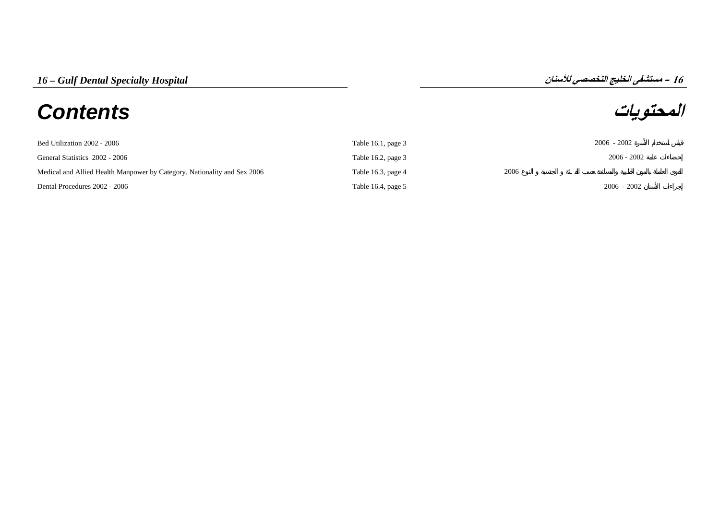# **المحتويات** *Contents*

**16**

| Bed Utilization 2002 - 2006                                              | Table 16.1, page $3$ |      | $2006 - 2002$ |
|--------------------------------------------------------------------------|----------------------|------|---------------|
| General Statistics 2002 - 2006                                           | Table 16.2, page $3$ |      | $2006 - 2002$ |
| Medical and Allied Health Manpower by Category, Nationality and Sex 2006 | Table 16.3, page 4   | 2006 |               |
| Dental Procedures 2002 - 2006                                            | Table 16.4, page 5   |      | $2006 - 2002$ |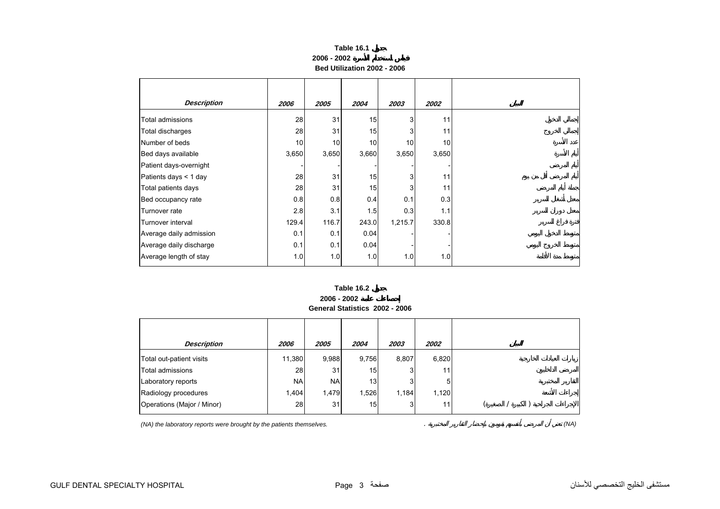## **Table 16.1 2006 - 2002Bed Utilization 2002 - 2006**

<span id="page-1-0"></span>

| <b>Description</b>      | 2006  | 2005  | 2004  | 2003    | 2002  |
|-------------------------|-------|-------|-------|---------|-------|
| Total admissions        | 28    | 31    | 15    | 3       | 11    |
| Total discharges        | 28    | 31    | 15    | 3       | 11    |
| Number of beds          | 10    | 10    | 10    | 10      | 10    |
| Bed days available      | 3,650 | 3,650 | 3,660 | 3,650   | 3,650 |
| Patient days-overnight  |       |       |       |         |       |
| Patients days < 1 day   | 28    | 31    | 15    | 3       | 11    |
| Total patients days     | 28    | 31    | 15    | 3       | 11    |
| Bed occupancy rate      | 0.8   | 0.8   | 0.4   | 0.1     | 0.3   |
| Turnover rate           | 2.8   | 3.1   | 1.5   | 0.3     | 1.1   |
| Turnover interval       | 129.4 | 116.7 | 243.0 | 1,215.7 | 330.8 |
| Average daily admission | 0.1   | 0.1   | 0.04  |         |       |
| Average daily discharge | 0.1   | 0.1   | 0.04  |         |       |
| Average length of stay  | 1.0   | 1.0   | 1.0   | 1.0     | 1.0   |

#### **Table 16.2**

**2006 - 2002 General Statistics 2002 - 2006**

| <b>Description</b>         | 2006      | 2005      | 2004  | 2003  | 2002  |  |  |  |
|----------------------------|-----------|-----------|-------|-------|-------|--|--|--|
| Total out-patient visits   | 11,380    | 9,988     | 9,756 | 8,807 | 6,820 |  |  |  |
| Total admissions           | 28        | 31        | 15    |       | 11    |  |  |  |
| Laboratory reports         | <b>NA</b> | <b>NA</b> | 13    | 3     | 5     |  |  |  |
| Radiology procedures       | 1,404     | 1,479     | 1,526 | 1,184 | 1,120 |  |  |  |
| Operations (Major / Minor) | 28        | 31        | 15    | 3     | 11    |  |  |  |

*(NA) the laboratory reports were brought by the patients themselves.* . *(NA)*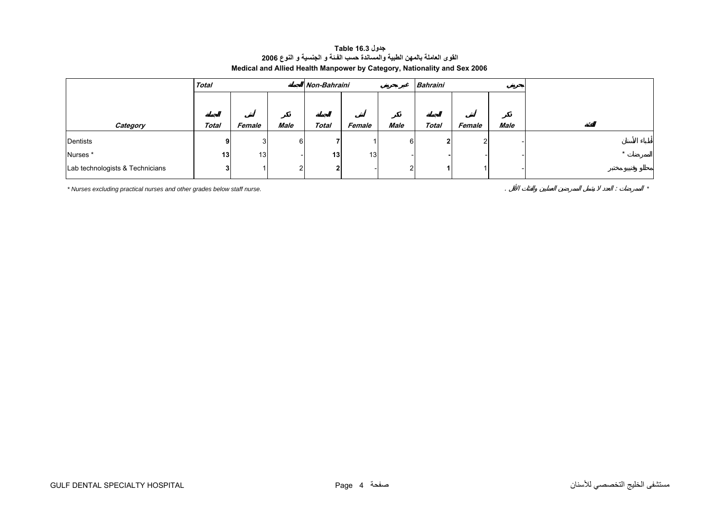# **جدول 16.3 Table القوى العاملة بالمهن الطبية والمساندة حسب الفـئة <sup>و</sup> الجنسية <sup>و</sup> النوع <sup>2006</sup> Medical and Allied Health Manpower by Category, Nationality and Sex 2006**

<span id="page-2-0"></span>

|                                 | <b>Total</b> |        |                | Non-Bahraini    |                 |                | <b>Bahraini</b> |        |      |  |
|---------------------------------|--------------|--------|----------------|-----------------|-----------------|----------------|-----------------|--------|------|--|
|                                 |              |        |                |                 |                 |                |                 |        |      |  |
|                                 |              |        |                |                 |                 |                |                 |        |      |  |
| Category                        | <b>Total</b> | Female | Male           | <b>Total</b>    | Female          | Male           | <b>Total</b>    | Female | Male |  |
| Dentists                        | 91           | 31     | 6              |                 |                 | 6              | ີ               |        |      |  |
| Nurses*                         | 13           | 13     |                | 13 <sub>1</sub> | 13 <sub>l</sub> |                |                 |        |      |  |
| Lab technologists & Technicians | 3            |        | $\overline{2}$ | $\mathbf{2}$    |                 | 2 <sub>1</sub> |                 |        |      |  |

*\* Nurses excluding practical nurses and other grades below staff nurse.* . : *\**